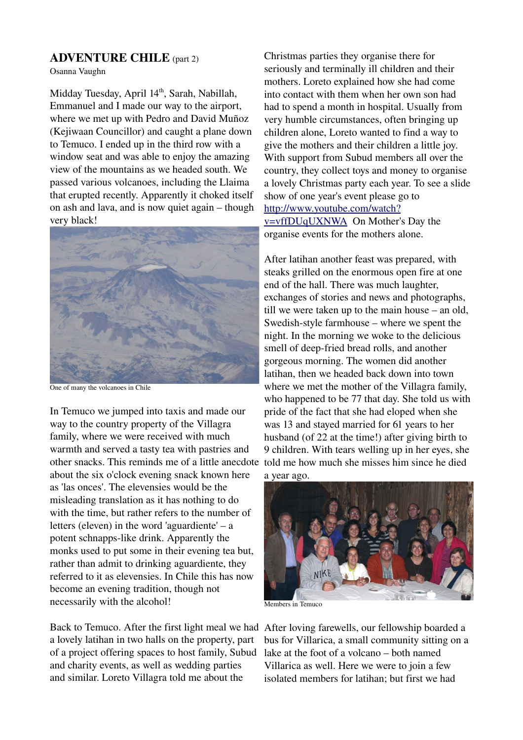## ADVENTURE CHILE (part 2)

Osanna Vaughn

Midday Tuesday, April 14<sup>th</sup>, Sarah, Nabillah, Emmanuel and I made our way to the airport, where we met up with Pedro and David Muñoz (Kejiwaan Councillor) and caught a plane down to Temuco. I ended up in the third row with a window seat and was able to enjoy the amazing view of the mountains as we headed south. We passed various volcanoes, including the Llaima that erupted recently. Apparently it choked itself on ash and lava, and is now quiet again – though very black!



One of many the volcanoes in Chile

In Temuco we jumped into taxis and made our way to the country property of the Villagra family, where we were received with much warmth and served a tasty tea with pastries and other snacks. This reminds me of a little anecdote about the six o'clock evening snack known here as 'las onces'. The elevensies would be the misleading translation as it has nothing to do with the time, but rather refers to the number of letters (eleven) in the word 'aguardiente' – a potent schnapps-like drink. Apparently the monks used to put some in their evening tea but, rather than admit to drinking aguardiente, they referred to it as elevensies. In Chile this has now become an evening tradition, though not necessarily with the alcohol!

Back to Temuco. After the first light meal we had After loving farewells, our fellowship boarded a a lovely latihan in two halls on the property, part of a project offering spaces to host family, Subud and charity events, as well as wedding parties and similar. Loreto Villagra told me about the

Christmas parties they organise there for seriously and terminally ill children and their mothers. Loreto explained how she had come into contact with them when her own son had had to spend a month in hospital. Usually from very humble circumstances, often bringing up children alone, Loreto wanted to find a way to give the mothers and their children a little joy. With support from Subud members all over the country, they collect toys and money to organise a lovely Christmas party each year. To see a slide show of one year's event please go to [http://www.youtube.com/watch?](http://www.youtube.com/watch?v=vffDUqUXNWA) [v=vffDUqUXNWA](http://www.youtube.com/watch?v=vffDUqUXNWA)  On Mother's Day the organise events for the mothers alone.

After latihan another feast was prepared, with steaks grilled on the enormous open fire at one end of the hall. There was much laughter, exchanges of stories and news and photographs, till we were taken up to the main house – an old, Swedish-style farmhouse – where we spent the night. In the morning we woke to the delicious smell of deep-fried bread rolls, and another gorgeous morning. The women did another latihan, then we headed back down into town where we met the mother of the Villagra family, who happened to be 77 that day. She told us with pride of the fact that she had eloped when she was 13 and stayed married for 61 years to her husband (of 22 at the time!) after giving birth to 9 children. With tears welling up in her eyes, she told me how much she misses him since he died a year ago.



Members in Temuco

bus for Villarica, a small community sitting on a lake at the foot of a volcano – both named Villarica as well. Here we were to join a few isolated members for latihan; but first we had